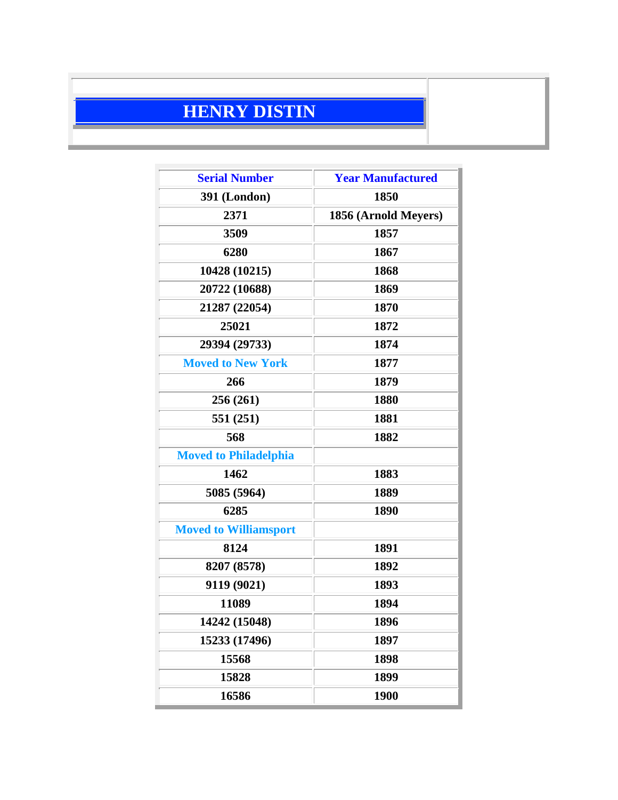## **HENRY DISTIN**

| <b>Serial Number</b>         | <b>Year Manufactured</b> |
|------------------------------|--------------------------|
| <b>391 (London)</b>          | 1850                     |
| 2371                         | 1856 (Arnold Meyers)     |
| 3509                         | 1857                     |
| 6280                         | 1867                     |
| 10428 (10215)                | 1868                     |
| 20722 (10688)                | 1869                     |
| 21287 (22054)                | 1870                     |
| 25021                        | 1872                     |
| 29394 (29733)                | 1874                     |
| <b>Moved to New York</b>     | 1877                     |
| 266                          | 1879                     |
| 256 (261)                    | 1880                     |
| 551 (251)                    | 1881                     |
| 568                          | 1882                     |
| <b>Moved to Philadelphia</b> |                          |
| 1462                         | 1883                     |
| 5085 (5964)                  | 1889                     |
| 6285                         | 1890                     |
| <b>Moved to Williamsport</b> |                          |
| 8124                         | 1891                     |
| 8207 (8578)                  | 1892                     |
| 9119 (9021)                  | 1893                     |
| 11089                        | 1894                     |
| 14242 (15048)                | 1896                     |
| 15233 (17496)                | 1897                     |
| 15568                        | 1898                     |
| 15828                        | 1899                     |
| 16586                        | 1900                     |